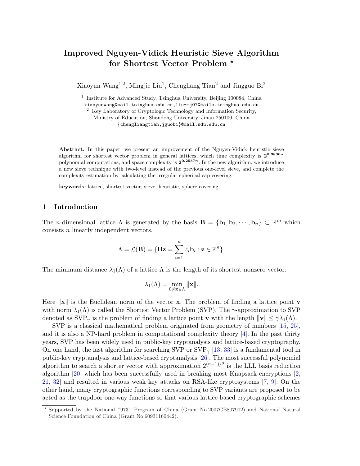# Improved Nguyen-Vidick Heuristic Sieve Algorithm for Shortest Vector Problem<sup>\*</sup>

Xiaoyun Wang<sup>1,2</sup>, Mingjie Liu<sup>1</sup>, Chengliang Tian<sup>2</sup> and Jingguo Bi<sup>2</sup>

<sup>1</sup> Institute for Advanced Study, Tsinghua University, Beijing 100084, China

xiaoyunwang@mail.tsinghua.edu.cn,liu-mj07@mails.tsinghua.edu.cn

<sup>2</sup> Key Laboratory of Cryptologic Technology and Information Security,

Ministry of Education, Shandong University, Jinan 250100, China {chengliangtian,jguobi}@mail.sdu.edu.cn

Abstract. In this paper, we present an improvement of the Nguyen-Vidick heuristic sieve algorithm for shortest vector problem in general lattices, which time complexity is  $2^{0.3836n}$ polynomial computations, and space complexity is  $2^{0.2557n}$ . In the new algorithm, we introduce a new sieve technique with two-level instead of the previous one-level sieve, and complete the complexity estimation by calculating the irregular spherical cap covering.

keywords: lattice, shortest vector, sieve, heuristic, sphere covering

# 1 Introduction

The *n*-dimensional lattice  $\Lambda$  is generated by the basis  $\mathbf{B} = {\mathbf{b}_1, \mathbf{b}_2, \cdots, \mathbf{b}_n} \subset \mathbb{R}^m$  which consists n linearly independent vectors.

$$
\Lambda = \mathcal{L}(\mathbf{B}) = \{ \mathbf{Bz} = \sum_{i=1}^n z_i \mathbf{b}_i : \mathbf{z} \in \mathbb{Z}^n \}.
$$

The minimum distance  $\lambda_1(\Lambda)$  of a lattice  $\Lambda$  is the length of its shortest nonzero vector:

$$
\lambda_1(\Lambda)=\min_{0\neq\mathbf{x}\in\Lambda}\|\mathbf{x}\|.
$$

Here  $\|\mathbf{x}\|$  is the Euclidean norm of the vector x. The problem of finding a lattice point v with norm  $\lambda_1(\Lambda)$  is called the Shortest Vector Problem (SVP). The  $\gamma$ -approximation to SVP denoted as  $SVP_{\gamma}$  is the problem of finding a lattice point **v** with the length  $\|\mathbf{v}\| \leq \gamma \lambda_1(\Lambda)$ .

SVP is a classical mathematical problem originated from geometry of numbers [15, 25], and it is also a NP-hard problem in computational complexity theory [4]. In the past thirty years, SVP has been widely used in public-key cryptanalysis and lattice-based cryptography. On one hand, the fast algorithm for searching SVP or  $SVP_{\gamma}$  [13, 33] is a fundamental tool in public-key cryptanalysis and lattice-based cryptanalysis [26]. The most successful polynomial algorithm to search a shorter vector with approximation  $2^{(n-1)/2}$  is the LLL basis reduction algorithm [20] which has been successfully used in breaking most Knapsack encryptions [2, 21, 32] and resulted in various weak key attacks on RSA-like cryptosystems [7, 9]. On the other hand, many cryptographic functions corresponding to SVP variants are proposed to be acted as the trapdoor one-way functions so that various lattice-based cryptographic schemes

<sup>?</sup> Supported by the National "973" Program of China (Grant No.2007CB807902) and National Natural Science Foundation of China (Grant No.60931160442).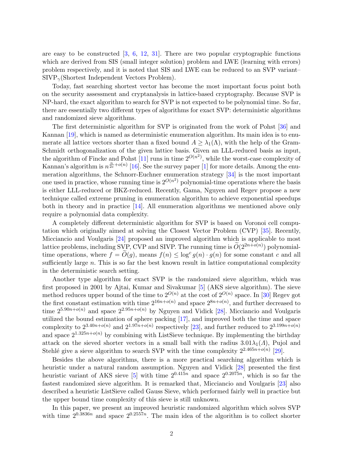are easy to be constructed  $[3, 6, 12, 31]$ . There are two popular cryptographic functions which are derived from SIS (small integer solution) problem and LWE (learning with errors) problem respectively, and it is noted that SIS and LWE can be reduced to an SVP variant–  $SIVP_{\gamma}$ (Shortest Independent Vectors Problem).

Today, fast searching shortest vector has become the most important focus point both on the security assessment and cryptanalysis in lattice-based cryptography. Because SVP is NP-hard, the exact algorithm to search for SVP is not expected to be polynomial time. So far, there are essentially two different types of algorithms for exact SVP: deterministic algorithms and randomized sieve algorithms.

The first deterministic algorithm for SVP is originated from the work of Pohst [36] and Kannan [19], which is named as deterministic enumeration algorithm. Its main idea is to enumerate all lattice vectors shorter than a fixed bound  $A > \lambda_1(\Lambda)$ , with the help of the Gram-Schmidt orthogonalization of the given lattice basis. Given an LLL-reduced basis as input, the algorithm of Fincke and Pohst  $[11]$  runs in time  $2^{O(n^2)}$ , while the worst-case complexity of Kannan's algorithm is  $n^{\frac{n}{2e}+o(n)}$  [16]. See the survey paper [1] for more details. Among the enumeration algorithms, the Schnorr-Euchner enumeration strategy [34] is the most important one used in practice, whose running time is  $2^{O(n^2)}$  polynomial-time operations where the basis is either LLL-reduced or BKZ-reduced. Recently, Gama, Nguyen and Regev propose a new technique called extreme pruning in enumeration algorithm to achieve exponential speedups both in theory and in practice [14]. All enumeration algorithms we mentioned above only require a polynomial data complexity.

A completely different deterministic algorithm for SVP is based on Voronoi cell computation which originally aimed at solving the Closest Vector Problem (CVP) [35]. Recently, Micciancio and Voulgaris [24] proposed an improved algorithm which is applicable to most lattice problems, including SVP, CVP and SIVP. The running time is  $O(2^{2n+o(n)})$  polynomialtime operations, where  $f = \widetilde{O}(g)$ , means  $f(n) \leq \log^c g(n) \cdot g(n)$  for some constant c and all sufficiently large  $n$ . This is so far the best known result in lattice computational complexity in the deterministic search setting.

Another type algorithm for exact SVP is the randomized sieve algorithm, which was first proposed in 2001 by Ajtai, Kumar and Sivakumar [5] (AKS sieve algorithm). The sieve method reduces upper bound of the time to  $2^{O(n)}$  at the cost of  $2^{O(n)}$  space. In [30] Regev got the first constant estimation with time  $2^{16n+o(n)}$  and space  $2^{8n+o(n)}$ , and further decreased to time  $2^{5.90n+o(n)}$  and space  $2^{2.95n+o(n)}$  by Nguyen and Vidick [28]. Micciancio and Voulgaris utilized the bound estimation of sphere packing [17], and improved both the time and space complexity to  $2^{3.40n+o(n)}$  and  $2^{1.97n+o(n)}$  respectively [23], and further reduced to  $2^{3.199n+o(n)}$ and space  $2^{1.325n+o(n)}$  by combining with ListSieve technique. By implementing the birthday attack on the sieved shorter vectors in a small ball with the radius  $3.01\lambda_1(\Lambda)$ , Pujol and Stehlé give a sieve algorithm to search SVP with the time complexity  $2^{2.465n+o(n)}$  [29].

Besides the above algorithms, there is a more practical searching algorithm which is heuristic under a natural random assumption. Nguyen and Vidick [28] presented the first heuristic variant of AKS sieve [5] with time  $2^{0.415n}$  and space  $2^{0.2075n}$ , which is so far the fastest randomized sieve algorithm. It is remarked that, Micciancio and Voulgaris [23] also described a heuristic ListSieve called Gauss Sieve, which performed fairly well in practice but the upper bound time complexity of this sieve is still unknown.

In this paper, we present an improved heuristic randomized algorithm which solves SVP with time  $2^{0.3836n}$  and space  $2^{0.2557n}$ . The main idea of the algorithm is to collect shorter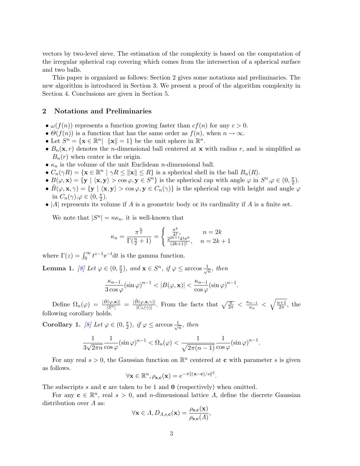vectors by two-level sieve. The estimation of the complexity is based on the computation of the irregular spherical cap covering which comes from the intersection of a spherical surface and two balls.

This paper is organized as follows: Section 2 gives some notations and preliminaries. The new algorithm is introduced in Section 3. We present a proof of the algorithm complexity in Section 4. Conclusions are given in Section 5.

## 2 Notations and Preliminaries

- $\omega(f(n))$  represents a function growing faster than  $cf(n)$  for any  $c > 0$ .
- $\Theta(f(n))$  is a function that has the same order as  $f(n)$ , when  $n \to \infty$ .
- Let  $S^n = {\mathbf{x} \in \mathbb{R}^n} \mid {\mathbf{x}} = 1}$  be the unit sphere in  $\mathbb{R}^n$ .
- $B_n(\mathbf{x}, r)$  denotes the *n*-dimensional ball centered at **x** with radius r, and is simplified as  $B_n(r)$  when center is the origin.
- $\kappa_n$  is the volume of the unit Euclidean *n*-dimensional ball.
- $C_n(\gamma R) = {\mathbf{x} \in \mathbb{R}^n \mid \gamma R \le ||\mathbf{x}|| \le R}$  is a spherical shell in the ball  $B_n(R)$ .
- $B(\varphi, \mathbf{x}) = \{ \mathbf{y} \mid \langle \mathbf{x}, \mathbf{y} \rangle > \cos \varphi, \mathbf{y} \in S^n \}$  is the spherical cap with angle  $\varphi$  in  $S^n, \varphi \in (0, \frac{\pi}{2})$  $\frac{\pi}{2}$ .
- $\tilde{B}(\varphi, \mathbf{x}, \gamma) = \{ \mathbf{y} \mid \langle \mathbf{x}, \mathbf{y} \rangle > \cos \varphi, \mathbf{y} \in C_n(\gamma) \}$  is the spherical cap with height and angle  $\varphi$ in  $C_n(\gamma), \varphi \in (0, \frac{\pi}{2})$  $\frac{\pi}{2}$ .
- |A| represents its volume if A is a geometric body or its cardinality if A is a finite set.

We note that  $|S^n| = n\kappa_n$  it is well-known that

$$
\kappa_n = \frac{\pi^{\frac{n}{2}}}{\Gamma(\frac{n}{2} + 1)} = \begin{cases} \frac{\pi^k}{k!}, & n = 2k\\ \frac{2^{2k+1}k!\pi^k}{(2k+1)!}, & n = 2k+1 \end{cases}
$$

where  $\Gamma(z) = \int_0^\infty t^{z-1} e^{-t} dt$  is the gamma function.

Lemma 1. [8] Let  $\varphi \in (0, \frac{\pi}{2})$  $(\frac{\pi}{2})$ , and  $\mathbf{x} \in S^n$ , if  $\varphi \leq \arccos \frac{1}{\sqrt{2}}$  $\frac{1}{n}$ , then

$$
\frac{\kappa_{n-1}}{3\cos\varphi}(\sin\varphi)^{n-1} < |B(\varphi, \mathbf{x})| < \frac{\kappa_{n-1}}{\cos\varphi}(\sin\varphi)^{n-1}.
$$

Define  $\Omega_n(\varphi) = \frac{|B(\varphi, \mathbf{x})|}{|S^n|} = \frac{|\tilde{B}(\varphi, \mathbf{x}, \gamma)|}{|C_n(\gamma)|}$  $\frac{\tilde{\beta}(\varphi,\mathbf{x},\gamma)}{|C_n(\gamma)|}$ . From the facts that  $\sqrt{\frac{n}{2\pi}} < \frac{\kappa_{n-1}}{\kappa_n}$  $\frac{n-1}{\kappa_n}$  <  $\sqrt{n+1}$  $\frac{1}{2\pi}$ , the following corollary holds.

Corollary 1. [8] Let  $\varphi \in (0, \frac{\pi}{2})$  $(\frac{\pi}{2})$ , if  $\varphi \leq \arccos \frac{1}{\sqrt{2}}$  $\frac{1}{n}$ , then

$$
\frac{1}{3\sqrt{2\pi n}}\frac{1}{\cos\varphi}(\sin\varphi)^{n-1} < \Omega_n(\varphi) < \frac{1}{\sqrt{2\pi(n-1)}}\frac{1}{\cos\varphi}(\sin\varphi)^{n-1}.
$$

For any real  $s > 0$ , the Gaussian function on  $\mathbb{R}^n$  centered at **c** with parameter s is given as follows.

$$
\forall \mathbf{x} \in \mathbb{R}^n, \rho_{\mathbf{s},\mathbf{c}}(\mathbf{x}) = e^{-\pi \|(\mathbf{x}-\mathbf{c})/s\|^2}.
$$

The subscripts s and c are taken to be 1 and 0 (respectively) when omitted.

For any  $\mathbf{c} \in \mathbb{R}^n$ , real  $s > 0$ , and *n*-dimensional lattice  $\Lambda$ , define the discrete Gaussian distribution over  $\Lambda$  as:

$$
\forall \mathbf{x} \in \Lambda, D_{\Lambda, s, \mathbf{c}}(\mathbf{x}) = \frac{\rho_{\mathbf{s}, \mathbf{c}}(\mathbf{x})}{\rho_{\mathbf{s}, \mathbf{c}}(\Lambda)},
$$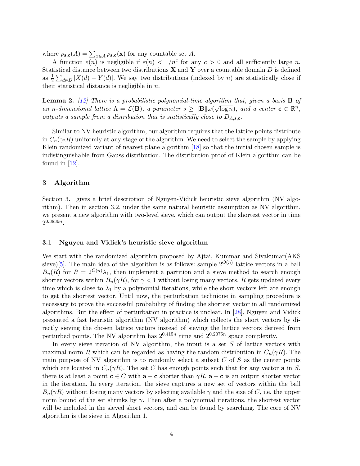where  $\rho_{\mathbf{s},\mathbf{c}}(A) = \sum_{x \in A} \rho_{\mathbf{s},\mathbf{c}}(\mathbf{x})$  for any countable set A.

A function  $\varepsilon(n)$  is negligible if  $\varepsilon(n) < 1/n^c$  for any  $c > 0$  and all sufficiently large n. Statistical distance between two distributions  $X$  and  $Y$  over a countable domain D is defined as  $\frac{1}{2} \sum_{d \in D} |X(d) - Y(d)|$ . We say two distributions (indexed by n) are statistically close if their statistical distance is negligible in  $n$ .

**Lemma 2.** [12] There is a probabilistic polynomial-time algorithm that, given a basis **B** of an n-dimensional lattice  $\Lambda = \mathcal{L}(\mathbf{B})$ , a parameter  $s \geq ||\tilde{\mathbf{B}}|| \omega(\sqrt{\log n})$ , and a center  $\mathbf{c} \in \mathbb{R}^n$ , outputs a sample from a distribution that is statistically close to  $D_{A, s, c}$ .

Similar to NV heuristic algorithm, our algorithm requires that the lattice points distribute in  $C_n(\gamma_2R)$  uniformly at any stage of the algorithm. We need to select the sample by applying Klein randomized variant of nearest plane algorithm [18] so that the initial chosen sample is indistinguishable from Gauss distribution. The distribution proof of Klein algorithm can be found in  $[12]$ .

# 3 Algorithm

Section 3.1 gives a brief description of Nguyen-Vidick heuristic sieve algorithm (NV algorithm). Then in section 3.2, under the same natural heuristic assumption as NV algorithm, we present a new algorithm with two-level sieve, which can output the shortest vector in time  $2^{0.3836n}$ .

### 3.1 Nguyen and Vidick's heuristic sieve algorithm

We start with the randomized algorithm proposed by Ajtai, Kummar and Sivakumar (AKS) sieve)[5]. The main idea of the algorithm is as follows: sample  $2^{O(n)}$  lattice vectors in a ball  $B_n(R)$  for  $R = 2^{O(n)}\lambda_1$ , then implement a partition and a sieve method to search enough shorter vectors within  $B_n(\gamma R)$ , for  $\gamma < 1$  without losing many vectors. R gets updated every time which is close to  $\lambda_1$  by a polynomial iterations, while the short vectors left are enough to get the shortest vector. Until now, the perturbation technique in sampling procedure is necessary to prove the successful probability of finding the shortest vector in all randomized algorithms. But the effect of perturbation in practice is unclear. In [28], Nguyen and Vidick presented a fast heuristic algorithm (NV algorithm) which collects the short vectors by directly sieving the chosen lattice vectors instead of sieving the lattice vectors derived from perturbed points. The NV algorithm has  $2^{0.415n}$  time and  $2^{0.2075n}$  space complexity.

In every sieve iteration of NV algorithm, the input is a set  $S$  of lattice vectors with maximal norm R which can be regarded as having the random distribution in  $C_n(\gamma R)$ . The main purpose of NV algorithm is to randomly select a subset  $C$  of  $S$  as the center points which are located in  $C_n(\gamma R)$ . The set C has enough points such that for any vector **a** in S, there is at least a point  $c \in C$  with  $a - c$  shorter than  $\gamma R$ .  $a - c$  is an output shorter vector in the iteration. In every iteration, the sieve captures a new set of vectors within the ball  $B_n(\gamma R)$  without losing many vectors by selecting available  $\gamma$  and the size of C, i.e. the upper norm bound of the set shrinks by  $\gamma$ . Then after a polynomial iterations, the shortest vector will be included in the sieved short vectors, and can be found by searching. The core of NV algorithm is the sieve in Algorithm 1.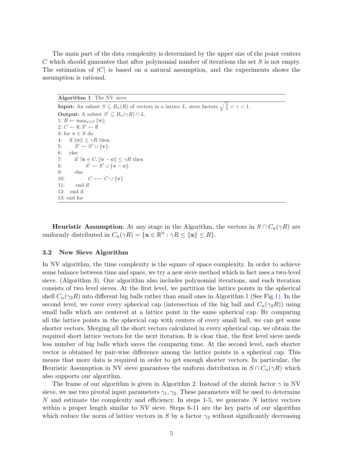The main part of the data complexity is determined by the upper size of the point centers C which should guarantee that after polynomial number of iterations the set S is not empty. The estimation of  $|C|$  is based on a natural assumption, and the experiments shows the assumption is rational.

Algorithm 1 The NV sieve **Input:** An subset  $S \subseteq B_n(R)$  of vectors in a lattice L, sieve factors  $\sqrt{\frac{2}{3}} < \gamma < 1$ . **Output:** A subset  $S' \subseteq B_n(\gamma R) \cap L$ . 1:  $R$  ← max<sub>v∈S</sub>  $||$ **v** $||$ .  $2: C \leftarrow \emptyset, S' \leftarrow \emptyset$ 3: for  $\mathbf{v}\in S$  do 4: if  $\|\mathbf{v}\| \leq \gamma R$  then 5:  $S' \leftarrow S' \cup \{v\}.$ 6: else 7: if  $\exists c \in C, ||\mathbf{v} - \mathbf{c}|| \leq \gamma R$  then 8:  $S' \leftarrow S' \cup \{v - c\}.$ 9: else 10:  $C \longleftarrow C \cup \{v\}$ 11: end if 12: end if 13: end for

**Heuristic Assumption:** At any stage in the Algorithm, the vectors in  $S \cap C_n(\gamma R)$  are uniformly distributed in  $C_n(\gamma R) = {\mathbf{x} \in \mathbb{R}^n : \gamma R \le ||\mathbf{x}|| \le R}.$ 

#### 3.2 New Sieve Algorithm

In NV algorithm, the time complexity is the square of space complexity. In order to achieve some balance between time and space, we try a new sieve method which in fact uses a two-level sieve. (Algorithm 3). Our algorithm also includes polynomial iterations, and each iteration consists of two level sieves. At the first level, we partition the lattice points in the spherical shell  $C_n(\gamma_2 R)$  into different big balls rather than small ones in Algorithm 1 (See Fig.1). In the second level, we cover every spherical cap (intersection of the big ball and  $C_n(\gamma_2R)$ ) using small balls which are centered at a lattice point in the same spherical cap. By comparing all the lattice points in the spherical cap with centers of every small ball, we can get some shorter vectors. Merging all the short vectors calculated in every spherical cap, we obtain the required short lattice vectors for the next iteration. It is clear that, the first level sieve needs less number of big balls which saves the comparing time. At the second level, each shorter vector is obtained by pair-wise difference among the lattice points in a spherical cap. This means that more data is required in order to get enough shorter vectors. In particular, the Heuristic Assumption in NV sieve guarantees the uniform distribution in  $S \cap C_n(\gamma R)$  which also supports our algorithm.

The frame of our algorithm is given in Algorithm 2. Instead of the shrink factor  $\gamma$  in NV sieve, we use two pivotal input parameters  $\gamma_1, \gamma_2$ . These parameters will be used to determine  $N$  and estimate the complexity and efficiency. In steps 1-5, we generate  $N$  lattice vectors within a proper length similar to NV sieve. Steps 6-11 are the key parts of our algorithm which reduce the norm of lattice vectors in S by a factor  $\gamma_2$  without significantly decreasing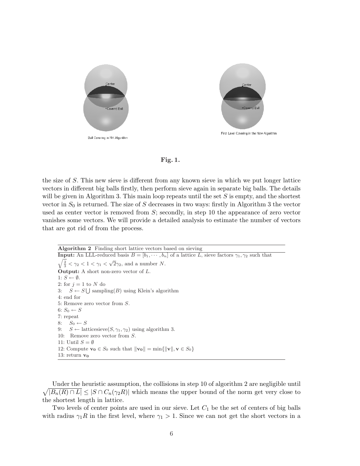





the size of S. This new sieve is different from any known sieve in which we put longer lattice vectors in different big balls firstly, then perform sieve again in separate big balls. The details will be given in Algorithm 3. This main loop repeats until the set  $S$  is empty, and the shortest vector in  $S_0$  is returned. The size of S decreases in two ways: firstly in Algorithm 3 the vector used as center vector is removed from S; secondly, in step 10 the appearance of zero vector vanishes some vectors. We will provide a detailed analysis to estimate the number of vectors that are got rid of from the process.

Algorithm 2 Finding short lattice vectors based on sieving **Input:** An LLL-reduced basis  $B = [b_1, \dots, b_n]$  of a lattice L, sieve factors  $\gamma_1, \gamma_2$  such that  $\frac{2}{3}$  <  $\gamma_2$  < 1 <  $\gamma_1$  <  $\sqrt{2}\gamma_2$ , and a number N. **Output:** A short non-zero vector of  $L$ . 1:  $S \leftarrow \emptyset$ . 2: for  $j = 1$  to N do 3:  $S \leftarrow S \cup \text{sampling}(B)$  using Klein's algorithm  $4 \cdot$  end for 5: Remove zero vector from S. 6:  $S_0 \leftarrow S$ 7: repeat 8:  $S_0 \leftarrow S$ 9:  $S \leftarrow$  latticesieve $(S, \gamma_1, \gamma_2)$  using algorithm 3. 10: Remove zero vector from S. 11: Until  $S = \emptyset$ 12: Compute  $\mathbf{v_0} \in S_0$  such that  $\|\mathbf{v_0}\| = \min{\{\|\mathbf{v}\|, \mathbf{v} \in S_0\}}$ 13: return  $v_0$ 

p Under the heuristic assumption, the collisions in step 10 of algorithm 2 are negligible until  $|B_n(R) \cap L| \leq |S \cap C_n(\gamma_2 R)|$  which means the upper bound of the norm get very close to the shortest length in lattice.

Two levels of center points are used in our sieve. Let  $C_1$  be the set of centers of big balls with radius  $\gamma_1 R$  in the first level, where  $\gamma_1 > 1$ . Since we can not get the short vectors in a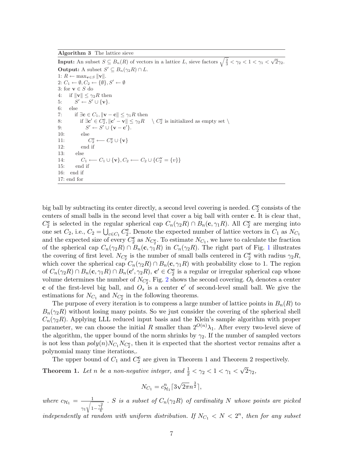Algorithm 3 The lattice sieve

**Input:** An subset  $S \subseteq B_n(R)$  of vectors in a lattice L, sieve factors  $\sqrt{\frac{2}{3}} < \gamma_2 < 1 < \gamma_1 < \sqrt{2}\gamma_2$ . **Output:** A subset  $S' \subseteq B_n(\gamma_2 R) \cap L$ . 1:  $R$  ← max<sub>v∈S</sub>  $||$ **v** $||$ . 2:  $C_1 \leftarrow \emptyset, C_2 \leftarrow \{\emptyset\}, S' \leftarrow \emptyset$ 3: for  $\mathbf{v}\in S$  do 4: if  $\|\mathbf{v}\| \leq \gamma_2 R$  then 5:  $S' \leftarrow S' \cup \{v\}.$ 6: else 7: if  $\exists \mathbf{c} \in C_1, ||\mathbf{v} - \mathbf{c}|| \leq \gamma_1 R$  then 8: if  $\exists c' \in C_2^c, ||c' - v|| \le \gamma_2 R \quad \setminus C_2^c$  is initialized as empty set  $\setminus$ 9:  $S' \leftarrow S' \cup \{ \mathbf{v} - \mathbf{c}' \}.$ 10: else  $11:$  $C_2^{\mathbf{c}} \longleftarrow C_2^{\mathbf{c}} \cup {\mathbf{v}}$ 12: end if 13: else 14:  $C_1 \leftarrow C_1 \cup \{v\}, C_2 \leftarrow C_2 \cup \{C_2^v = \{v\}\}\$ 15: end if 16: end if 17: end for

big ball by subtracting its center directly, a second level covering is needed.  $C_2^{\mathbf{c}}$  consists of the centers of small balls in the second level that cover a big ball with center c. It is clear that,  $C_2^c$  is selected in the regular spherical cap  $C_n(\gamma_2 R) \cap B_n(c, \gamma_1 R)$ . All  $C_2^c$  are merging into one set  $C_2$ , i.e.,  $C_2 = \bigcup_{c \in C_1} C_2^c$ . Denote the expected number of lattice vectors in  $C_1$  as  $N_{C_1}$ and the expected size of every  $C_2^c$  as  $N_{C_2^c}$ . To estimate  $N_{C_1}$ , we have to calculate the fraction of the spherical cap  $C_n(\gamma_2 R) \cap B_n(c, \gamma_1 R)$  in  $C_n(\gamma_2 R)$ . The right part of Fig. 1 illustrates the covering of first level.  $N_{C_2^c}$  is the number of small balls centered in  $C_2^c$  with radius  $\gamma_2 R$ , which cover the spherical cap  $C_n(\gamma_2R) \cap B_n(\mathbf{c}, \gamma_1R)$  with probability close to 1. The region of  $C_n(\gamma_2 R) \cap B_n(\mathbf{c}, \gamma_1 R) \cap B_n(\mathbf{c}', \gamma_2 R)$ ,  $\mathbf{c}' \in C_2^{\mathbf{c}}$  is a regular or irregular spherical cap whose volume determines the number of  $N_{C_2^c}$ . Fig. 2 shows the second covering.  $O_b$  denotes a center c of the first-level big ball, and  $O_s$  is a center c' of second-level small ball. We give the estimations for  $N_{C_1}$  and  $N_{C_2^c}$  in the following theorems.

The purpose of every iteration is to compress a large number of lattice points in  $B_n(R)$  to  $B_n(\gamma_2R)$  without losing many points. So we just consider the covering of the spherical shell  $C_n(\gamma_2R)$ . Applying LLL reduced input basis and the Klein's sample algorithm with proper parameter, we can choose the initial R smaller than  $2^{O(n)}\lambda_1$ . After every two-level sieve of the algorithm, the upper bound of the norm shrinks by  $\gamma_2$ . If the number of sampled vectors is not less than  $poly(n)N_{C_1}N_{C_2^c}$ , then it is expected that the shortest vector remains after a polynomial many time iterations,.

The upper bound of  $C_1$  and  $C_2^c$  are given in Theorem 1 and Theorem 2 respectively.

**Theorem 1.** Let n be a non-negative integer, and  $\frac{1}{2} < \gamma_2 < 1 < \gamma_1 <$ √  $2\gamma_2,$ 

$$
N_{C_1} = c_{\mathcal{H}_1}^n \lceil 3\sqrt{2\pi} n^{\frac{3}{2}} \rceil,
$$

where  $c_{\mathcal{H}_1} = \frac{1}{\sqrt{2}}$  $\gamma_1$  $\overline{\phantom{a}}$  $1-\frac{\gamma _{1}^{2}}{4}$ . S is a subset of  $C_n(\gamma_2 R)$  of cardinality N whose points are picked

independently at random with uniform distribution. If  $N_{C_1} < N < 2^n$ , then for any subset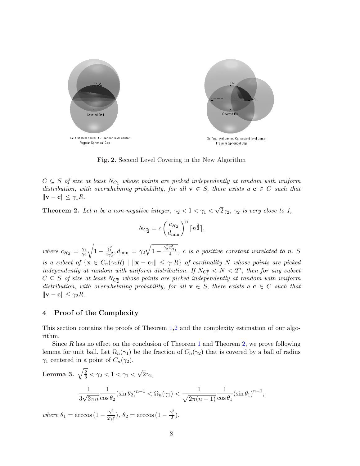

Fig. 2. Second Level Covering in the New Algorithm

 $C \subseteq S$  of size at least  $N_{C_1}$  whose points are picked independently at random with uniform distribution, with overwhelming probability, for all  $\mathbf{v} \in S$ , there exists a  $\mathbf{c} \in C$  such that  $\|\mathbf{v} - \mathbf{c}\| \leq \gamma_1 R.$ 

**Theorem 2.** Let n be a non-negative integer,  $\gamma_2 < 1 < \gamma_1 <$ √  $\overline{2}\gamma_2$ ,  $\gamma_2$  is very close to 1,

$$
N_{C_2^{\mathbf{c}}} = c \left(\frac{c_{\mathcal{H}_2}}{d_{\min}}\right)^n \lceil n^{\frac{3}{2}} \rceil,
$$

where  $c_{\mathcal{H}_2} = \frac{\gamma_1}{\gamma_2}$  $\overline{\gamma_2}$ r  $1-\frac{\gamma_1^2}{4\gamma_2^2},d_{\min}=\gamma_2$  $\mathcal{L}$  $\overline{1-\frac{\gamma_2^2c_{\mathcal{H}_1}^2}{4}}$ , c is a positive constant unrelated to n. S is a subset of  $\{x \in C_n(\gamma_2 R) \mid ||x - c_1|| \leq \gamma_1 R\}$  of cardinality N whose points are picked independently at random with uniform distribution. If  $N_{C_2^c} < N < 2^n$ , then for any subset  $C \subseteq S$  of size at least  $N_{C_2^c}$  whose points are picked independently at random with uniform distribution, with overwhelming probability, for all  $\mathbf{v} \in S$ , there exists a  $\mathbf{c} \in C$  such that  $\|\mathbf{v} - \mathbf{c}\| \leq \gamma_2 R.$ 

#### 4 Proof of the Complexity

This section contains the proofs of Theorem 1,2 and the complexity estimation of our algorithm.

Since  $R$  has no effect on the conclusion of Theorem 1 and Theorem 2, we prove following lemma for unit ball. Let  $\Omega_n(\gamma_1)$  be the fraction of  $C_n(\gamma_2)$  that is covered by a ball of radius  $\gamma_1$  centered in a point of  $C_n(\gamma_2)$ .

Lemma 3. 
$$
\sqrt{\frac{2}{3}} < \gamma_2 < 1 < \gamma_1 < \sqrt{2}\gamma_2
$$
,  
\n
$$
\frac{1}{3\sqrt{2\pi n}} \frac{1}{\cos\theta_2} (\sin\theta_2)^{n-1} < \Omega_n(\gamma_1) < \frac{1}{\sqrt{2\pi(n-1)}} \frac{1}{\cos\theta_1} (\sin\theta_1)^{n-1},
$$

where  $\theta_1 = \arccos(1 - \frac{\gamma_1^2}{2\gamma_2^2}), \ \theta_2 = \arccos(1 - \frac{\gamma_1^2}{2}).$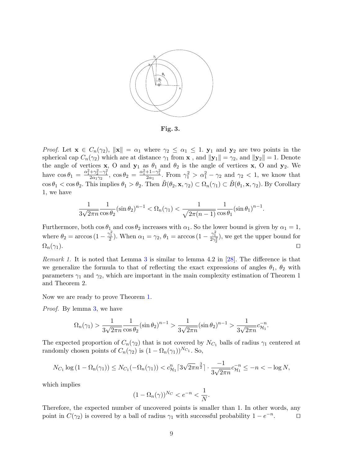

Fig. 3.

*Proof.* Let  $\mathbf{x} \in C_n(\gamma_2)$ ,  $\|\mathbf{x}\| = \alpha_1$  where  $\gamma_2 \leq \alpha_1 \leq 1$ .  $\mathbf{y}_1$  and  $\mathbf{y}_2$  are two points in the spherical cap  $C_n(\gamma_2)$  which are at distance  $\gamma_1$  from **x**, and  $||\mathbf{y}_1|| = \gamma_2$ , and  $||\mathbf{y}_2|| = 1$ . Denote the angle of vertices **x**, O and **y**<sub>1</sub> as  $\theta_1$  and  $\theta_2$  is the angle of vertices **x**, O and **y**<sub>2</sub>. We have  $\cos\theta_1 = \frac{\alpha_1^2 + \gamma_2^2 - \gamma_1^2}{2\alpha_1\gamma_2}$ ,  $\cos\theta_2 = \frac{\alpha_1^2 + 1 - \gamma_1^2}{2\alpha_1}$ . From  $\gamma_1^2 > \alpha_1^2 - \gamma_2$  and  $\gamma_2 < 1$ , we know that  $\cos \theta_1 < \cos \theta_2$ . This implies  $\theta_1 > \theta_2$ . Then  $\tilde{B}(\theta_2, \mathbf{x}, \gamma_2) \subset \Omega_n(\gamma_1) \subset \tilde{B}(\theta_1, \mathbf{x}, \gamma_2)$ . By Corollary 1, we have

$$
\frac{1}{3\sqrt{2\pi n}}\frac{1}{\cos\theta_2}(\sin\theta_2)^{n-1} < \Omega_n(\gamma_1) < \frac{1}{\sqrt{2\pi(n-1)}}\frac{1}{\cos\theta_1}(\sin\theta_1)^{n-1}.
$$

Furthermore, both  $\cos \theta_1$  and  $\cos \theta_2$  increases with  $\alpha_1$ . So the lower bound is given by  $\alpha_1 = 1$ , where  $\theta_2 = \arccos\left(1 - \frac{\gamma_1^2}{2}\right)$ . When  $\alpha_1 = \gamma_2$ ,  $\theta_1 = \arccos\left(1 - \frac{\gamma_1^2}{2\gamma_2^2}\right)$ , we get the upper bound for  $\Omega_n(\gamma_1).$ 

Remark 1. It is noted that Lemma 3 is similar to lemma 4.2 in [28]. The difference is that we generalize the formula to that of reflecting the exact expressions of angles  $\theta_1$ ,  $\theta_2$  with parameters  $\gamma_1$  and  $\gamma_2$ , which are important in the main complexity estimation of Theorem 1 and Theorem 2.

Now we are ready to prove Theorem 1.

*Proof.* By lemma 3, we have

$$
\Omega_n(\gamma_1) > \frac{1}{3\sqrt{2\pi n}} \frac{1}{\cos\theta_2} (\sin\theta_2)^{n-1} > \frac{1}{3\sqrt{2\pi n}} (\sin\theta_2)^{n-1} > \frac{1}{3\sqrt{2\pi n}} c_{\mathcal{H}_1}^{-n}.
$$

The expected proportion of  $C_n(\gamma_2)$  that is not covered by  $N_{C_1}$  balls of radius  $\gamma_1$  centered at randomly chosen points of  $C_n(\gamma_2)$  is  $(1 - \Omega_n(\gamma_1))^{N_{C_1}}$ . So,

$$
N_{C_1} \log (1 - \Omega_n(\gamma_1)) \le N_{C_1}(-\Omega_n(\gamma_1)) < c_{\mathcal{H}_1}^n \lceil 3\sqrt{2\pi}n^{\frac{3}{2}} \rceil \cdot \frac{-1}{3\sqrt{2\pi n}} c_{\mathcal{H}_1}^{-n} \le -n < -\log N,
$$

which implies

$$
(1 - \Omega_n(\gamma))^{N_C} < e^{-n} < \frac{1}{N}.
$$

Therefore, the expected number of uncovered points is smaller than 1. In other words, any point in  $C(\gamma_2)$  is covered by a ball of radius  $\gamma_1$  with successful probability  $1 - e^{-n}$  $\Box$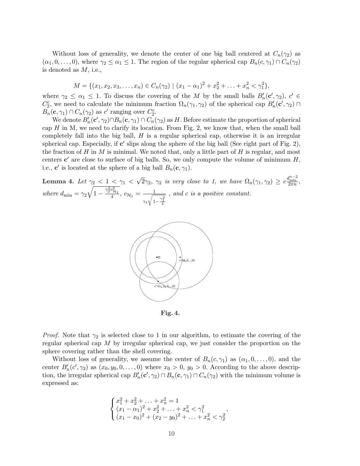Without loss of generality, we denote the center of one big ball centered at  $C_n(\gamma_2)$  as  $(\alpha_1, 0, \ldots, 0)$ , where  $\gamma_2 \leq \alpha_1 \leq 1$ . The region of the regular spherical cap  $B_n(c, \gamma_1) \cap C_n(\gamma_2)$ is denoted as M, i.e.,

$$
M = \{ (x_1, x_2, x_3, \dots, x_n) \in C_n(\gamma_2) \mid (x_1 - \alpha_1)^2 + x_2^2 + \dots + x_n^2 < \gamma_1^2 \},
$$

where  $\gamma_2 \leq \alpha_1 \leq 1$ . To discuss the covering of the M by the small balls  $B'_n(c', \gamma_2)$ ,  $c' \in$  $C_2^c$ , we need to calculate the minimum fraction  $\Omega_n(\gamma_1, \gamma_2)$  of the spherical cap  $B'_n(c', \gamma_2)$  $B_n(\mathbf{c}, \gamma_1) \cap C_n(\gamma_2)$  as c' ranging over  $C_2^c$ .

We denote  $B'_n(\mathbf{c}', \gamma_2) \cap B_n(\mathbf{c}, \gamma_1) \cap C_n(\gamma_2)$  as H. Before estimate the proportion of spherical cap  $H$  in M, we need to clarify its location. From Fig. 2, we know that, when the small ball completely fall into the big ball,  $H$  is a regular spherical cap, otherwise it is an irregular spherical cap. Especially, if  $c'$  slips along the sphere of the big ball (See right part of Fig. 2), the fraction of H in M is minimal. We noted that, only a little part of H is regular, and most centers  $c'$  are close to surface of big balls. So, we only compute the volume of minimum  $H$ , i.e., **c'** is located at the sphere of a big ball  $B_n(\mathbf{c}, \gamma_1)$ .

Lemma 4. Let  $\gamma_2$  < 1 <  $\gamma_1$  < √  $\overline{2}\gamma_2$ ,  $\gamma_2$  is very close to 1, we have  $\Omega_n(\gamma_1, \gamma_2) \geq c \frac{d_{n-2}^{n-2}}{2\pi n}$ , where  $d_{\min} = \gamma_2$  $\gamma$  $\sqrt{1-\frac{\gamma_2^2c_{\mathcal{H}_1}^2}{4}}, \ c_{\mathcal{H}_1}=-\frac{1}{\sqrt{4}}$  $\gamma_1$  $\overline{\phantom{a}}$  $1-\frac{\gamma _{1}^{2}}{4}$ , and c is a positive constant.



Fig. 4.

*Proof.* Note that  $\gamma_2$  is selected close to 1 in our algorithm, to estimate the covering of the regular spherical cap  $M$  by irregular spherical cap, we just consider the proportion on the sphere covering rather than the shell covering.

Without loss of generality, we assume the center of  $B_n(c, \gamma_1)$  as  $(\alpha_1, 0, \ldots, 0)$ , and the center  $B'_n(c', \gamma_2)$  as  $(x_0, y_0, 0, \ldots, 0)$  where  $x_0 > 0$ ,  $y_0 > 0$ . According to the above description, the irregular spherical cap  $B'_n(c', \gamma_2) \cap B_n(c, \gamma_1) \cap C_n(\gamma_2)$  with the minimum volume is expressed as:

$$
\begin{cases}\nx_1^2 + x_2^2 + \dots + x_n^2 = 1 \\
(x_1 - \alpha_1)^2 + x_2^2 + \dots + x_n^2 < \gamma_1^2 \\
(x_1 - x_0)^2 + (x_2 - y_0)^2 + \dots + x_n^2 < \gamma_2^2\n\end{cases}
$$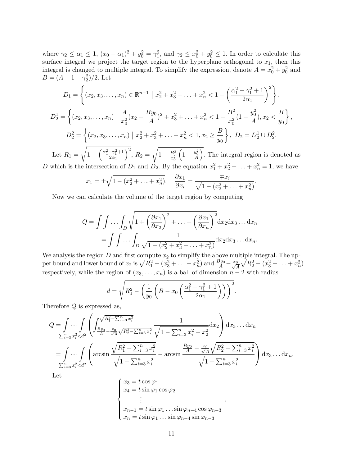where  $\gamma_2 \leq \alpha_1 \leq 1$ ,  $(x_0 - \alpha_1)^2 + y_0^2 = \gamma_1^2$ , and  $\gamma_2 \leq x_0^2 + y_0^2 \leq 1$ . In order to calculate this surface integral we project the target region to the hyperplane orthogonal to  $x_1$ , then this integral is changed to multiple integral. To simplify the expression, denote  $A = x_0^2 + y_0^2$  and  $B = (A + 1 - \gamma_2^2)/2$ . Let

$$
D_1 = \left\{ (x_2, x_3, \dots, x_n) \in \mathbb{R}^{n-1} \mid x_2^2 + x_3^2 + \dots + x_n^2 < 1 - \left( \frac{\alpha_1^2 - \gamma_1^2 + 1}{2\alpha_1} \right)^2 \right\}.
$$
\n
$$
D_2^1 = \left\{ (x_2, x_3, \dots, x_n) \mid \frac{A}{x_0^2} (x_2 - \frac{By_0}{A})^2 + x_3^2 + \dots + x_n^2 < 1 - \frac{B^2}{x_0^2} (1 - \frac{y_0^2}{A}), x_2 < \frac{B}{y_0} \right\},
$$
\n
$$
D_2^2 = \left\{ (x_2, x_3, \dots, x_n) \mid x_2^2 + x_3^2 + \dots + x_n^2 < 1, x_2 \ge \frac{B}{y_0} \right\}, D_2 = D_2^1 \cup D_2^2.
$$

Let  $R_1 = \sqrt{1 - \frac{1}{2}}$  $\sqrt{\frac{\alpha_1^2 - \gamma_1^2 + 1}{\alpha_1^2 + \gamma_2^2}}$  $\overline{2\alpha_1}$ ,  $R_2 = \sqrt{1 - \frac{B^2}{r^2}}$  $\overline{x_0^2}$  $1-\frac{y_0^2}{A}$ . The integral region is denoted as D which is the intersection of  $D_1$  and  $D_2$ . By the equation  $x_1^2 + x_2^2 + \ldots + x_n^2 = 1$ , we have

$$
x_1 = \pm \sqrt{1 - (x_2^2 + \dots + x_n^2)}, \quad \frac{\partial x_1}{\partial x_i} = \frac{\mp x_i}{\sqrt{1 - (x_2^2 + \dots + x_n^2)}}.
$$

Now we can calculate the volume of the target region by computing

$$
Q = \int \int \dots \int_D \sqrt{1 + \left(\frac{\partial x_1}{\partial x_2}\right)^2 + \dots + \left(\frac{\partial x_1}{\partial x_n}\right)^2} dx_2 dx_3 \dots dx_n
$$
  
= 
$$
\int \int \dots \int_D \frac{1}{\sqrt{1 - (x_2^2 + x_3^2 + \dots + x_n^2)}} dx_2 dx_3 \dots dx_n.
$$

We analysis the region D and first compute  $x_2$  to simplify the above multiple integral. The upper bound and lower bound of  $x_2$  is  $\sqrt{R_1^2 - (x_3^2 + \ldots + x_n^2)}$  and  $\frac{By_0}{A} - \frac{x_0}{\sqrt{A}}\sqrt{R_2^2 - (x_3^2 + \ldots + x_n^2)}$ rit  $R_2^2 - (x_3^2 + \ldots + x_n^2)$ respectively, while the region of  $(x_3, \ldots, x_n)$  is a ball of dimension  $n-2$  with radius s

$$
d = \sqrt{R_1^2 - \left(\frac{1}{y_0} \left(B - x_0 \left(\frac{\alpha_1^2 - \gamma_1^2 + 1}{2\alpha_1}\right)\right)\right)^2}.
$$

Therefore Q is expressed as,  $\overline{\phantom{a}}$ 

$$
Q = \int \cdots \int \limits_{\sum_{i=3}^{n} x_i^2 < d^2} \left( \int \frac{\sqrt{R_1^2 - \sum_{i=3}^{n} x_i^2}}{\sqrt{R_2^2 - \sum_{i=3}^{n} x_i^2}} \frac{1}{\sqrt{1 - \sum_{i=3}^{n} x_i^2 - x_2^2}} dx_2 \right) dx_3 \dots dx_n
$$
  
= 
$$
\int \cdots \int \limits_{\sum_{i=3}^{n} x_i^2 < d^2} \left( \arcsin \frac{\sqrt{R_1^2 - \sum_{i=3}^{n} x_i^2}}{\sqrt{1 - \sum_{i=3}^{n} x_i^2}} - \arcsin \frac{\frac{By_0}{A} - \frac{x_0}{\sqrt{A}} \sqrt{R_2^2 - \sum_{i=3}^{n} x_i^2}}{\sqrt{1 - \sum_{i=3}^{n} x_i^2}} \right) dx_3 \dots dx_n.
$$

Let

$$
\begin{cases}\nx_3 = t \cos \varphi_1 \\
x_4 = t \sin \varphi_1 \cos \varphi_2 \\
\vdots \\
x_{n-1} = t \sin \varphi_1 \dots \sin \varphi_{n-4} \cos \varphi_{n-3} \\
x_n = t \sin \varphi_1 \dots \sin \varphi_{n-4} \sin \varphi_{n-3}\n\end{cases}
$$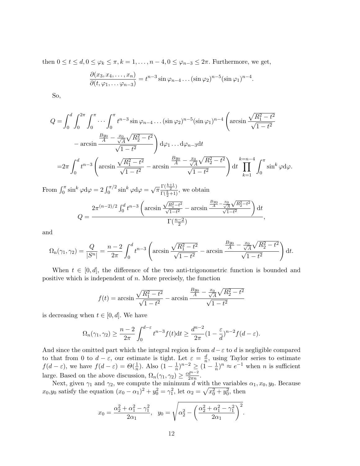then  $0 \le t \le d$ ,  $0 \le \varphi_k \le \pi$ ,  $k = 1, \ldots, n-4$ ,  $0 \le \varphi_{n-3} \le 2\pi$ . Furthermore, we get,

$$
\frac{\partial(x_3, x_4, \dots, x_n)}{\partial(t, \varphi_1, \dots \varphi_{n-3})} = t^{n-3} \sin \varphi_{n-4} \dots (\sin \varphi_2)^{n-5} (\sin \varphi_1)^{n-4}.
$$

So,

$$
Q = \int_0^d \int_0^{2\pi} \int_0^{\pi} \cdots \int_0^{\pi} t^{n-3} \sin \varphi_{n-4} \dots (\sin \varphi_2)^{n-5} (\sin \varphi_1)^{n-4} \left( \arcsin \frac{\sqrt{R_1^2 - t^2}}{\sqrt{1 - t^2}} - \arcsin \frac{\frac{By_0}{A} - \frac{x_0}{\sqrt{A}} \sqrt{R_2^2 - t^2}}{\sqrt{1 - t^2}} \right) d\varphi_1 \dots d\varphi_{n-3} dt
$$
  
= 
$$
2\pi \int_0^d t^{n-3} \left( \arcsin \frac{\sqrt{R_1^2 - t^2}}{\sqrt{1 - t^2}} - \arcsin \frac{\frac{By_0}{A} - \frac{x_0}{\sqrt{A}} \sqrt{R_2^2 - t^2}}{\sqrt{1 - t^2}} \right) dt \prod_{k=1}^{k=n-4} \int_0^{\pi} \sin^k \varphi d\varphi.
$$

From  $\int_0^{\pi} \sin^k \varphi d\varphi = 2 \int_0^{\pi/2} \sin^k \varphi d\varphi = \sqrt{\pi} \frac{\Gamma(\frac{k+1}{2})}{\Gamma(\frac{k}{2}+1)}$  $\frac{\Gamma(\frac{2}{2})}{\Gamma(\frac{k}{2}+1)}$ , we obtain  $Q =$  $2\pi^{(n-2)/2} \int_0^d$  $\int_0^d t^{n-3}$  $\overline{a}$ arcsin  $\frac{\sqrt{R_1^2 - t^2}}{\sqrt{1 - t^2}}$  – arcsin  $\frac{By_0}{A} - \frac{x_0}{\sqrt{A}}$  $\frac{x_0}{\sqrt{A}}\sqrt{R_2^2-t^2}$  $\mathbf{r}$  $\int dt$  $\Gamma(\frac{n-2}{2})$ ,

and

$$
\Omega_{n}(\gamma_{1},\gamma_{2}) = \frac{Q}{|S^{n}|} = \frac{n-2}{2\pi} \int_{0}^{d} t^{n-3} \left( \arcsin \frac{\sqrt{R_{1}^{2} - t^{2}}}{\sqrt{1 - t^{2}}} - \arcsin \frac{\frac{By_{0}}{A} - \frac{x_{0}}{\sqrt{A}}\sqrt{R_{2}^{2} - t^{2}}}{\sqrt{1 - t^{2}}} \right) dt.
$$

When  $t \in [0, d]$ , the difference of the two anti-trigonometric function is bounded and positive which is independent of  $n$ . More precisely, the function

$$
f(t) = \arcsin \frac{\sqrt{R_1^2 - t^2}}{\sqrt{1 - t^2}} - \arcsin \frac{\frac{By_0}{A} - \frac{x_0}{\sqrt{A}}\sqrt{R_2^2 - t^2}}{\sqrt{1 - t^2}}
$$

is decreasing when  $t \in [0, d]$ . We have

$$
\Omega_n(\gamma_1, \gamma_2) \ge \frac{n-2}{2\pi} \int_0^{d-\varepsilon} t^{n-3} f(t) dt \ge \frac{d^{n-2}}{2\pi} (1 - \frac{\varepsilon}{d})^{n-2} f(d-\varepsilon).
$$

And since the omitted part which the integral region is from  $d-\varepsilon$  to d is negligible compared to that from 0 to  $d - \varepsilon$ , our estimate is tight. Let  $\varepsilon = \frac{d}{n}$  $\frac{d}{n}$ , using Taylor series to estimate  $f(d-\varepsilon)$ , we have  $f(d-\varepsilon) = \Theta(\frac{1}{n})$  $\frac{1}{n}$ ). Also  $(1-\frac{1}{n})$  $(\frac{1}{n})^{n-2} \geq (\frac{n}{1} - \frac{1}{n})$  $(\frac{1}{n})^n \approx e^{-1}$  when *n* is sufficient large. Based on the above discussion,  $\Omega_n(\gamma_1, \gamma_2) \geq \frac{cd^{n-2}}{2\pi n}$  $rac{d^{n-2}}{2\pi n}$ .

Next, given  $\gamma_1$  and  $\gamma_2$ , we compute the minimum d with the variables  $\alpha_1, x_0, y_0$ . Because  $x_0, y_0$  satisfy the equation  $(x_0 - \alpha_1)^2 + y_0^2 = \gamma_1^2$ , let  $\alpha_2 = \sqrt{x_0^2 + y_0^2}$ , then

$$
x_0 = \frac{\alpha_2^2 + \alpha_1^2 - \gamma_1^2}{2\alpha_1}, \ \ y_0 = \sqrt{\alpha_2^2 - \left(\frac{\alpha_2^2 + \alpha_1^2 - \gamma_1^2}{2\alpha_1}\right)^2}.
$$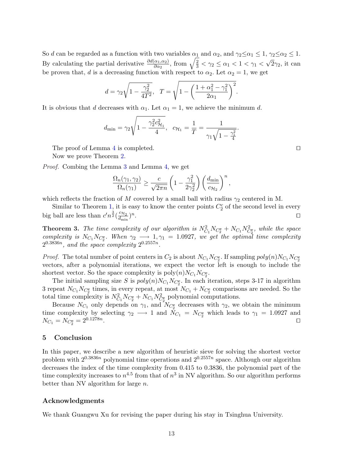So d can be regarded as a function with two variables  $\alpha_1$  and  $\alpha_2$ , and  $\gamma_2 \le \alpha_1 \le 1$ ,  $\gamma_2 \le \alpha_2 \le 1$ . So *a* can be regarded as a function with two variables  $\alpha_1$  and  $\alpha_2$ , and  $\gamma_2 \le \alpha_1 \le 1$ <br>By calculating the partial derivative  $\frac{\partial d(\alpha_1, \alpha_2)}{\partial \alpha_2}$ , from  $\sqrt{\frac{2}{3}} < \gamma_2 \le \alpha_1 < 1 < \gamma_1 <$ √  $2\gamma_2$ , it can be proven that, d is a decreasing function with respect to  $\alpha_2$ . Let  $\alpha_2 = 1$ , we get

$$
d = \gamma_2 \sqrt{1 - \frac{\gamma_2^2}{4 T^2}}, \quad T = \sqrt{1 - \left(\frac{1 + \alpha_1^2 - \gamma_1^2}{2 \alpha_1}\right)^2}.
$$

It is obvious that d decreases with  $\alpha_1$ . Let  $\alpha_1 = 1$ , we achieve the minimum d.

$$
d_{\min} = \gamma_2 \sqrt{1 - \frac{\gamma_2^2 c_{\mathcal{H}_1}^2}{4}}, \quad c_{\mathcal{H}_1} = \frac{1}{T} = \frac{1}{\gamma_1 \sqrt{1 - \frac{\gamma_1^2}{4}}}
$$

The proof of Lemma 4 is completed.  $\Box$ 

Now we prove Theorem 2.

Proof. Combing the Lemma 3 and Lemma 4, we get

$$
\frac{\Omega_n(\gamma_1, \gamma_2)}{\Omega_n(\gamma_1)} \ge \frac{c}{\sqrt{2\pi n}} \left(1 - \frac{\gamma_1^2}{2\gamma_2^2}\right) \left(\frac{d_{\min}}{c_{\mathcal{H}_2}}\right)^n,
$$

which reflects the fraction of M covered by a small ball with radius  $\gamma_2$  centered in M.

Similar to Theorem 1, it is easy to know the center points  $C_2^c$  of the second level in every big ball are less than  $c'n^{\frac{3}{2}}(\frac{c_{\mathcal{H}_2}}{d})$  $\frac{c_{\mathcal{H}_2}}{d_{\min}})^n$ . The contract of the contract of the contract of the contract of the contract of the contract of the contract of the contract of the contract of the contract of the contract of the contract of the contract of the contract

**Theorem 3.** The time complexity of our algorithm is  $N_{C_1}^2 N_{C_2^c} + N_{C_1} N_{C_2^c}^2$ , while the space complexity is  $N_{C_1}N_{C_2^c}$ . When  $\gamma_2 \longrightarrow 1, \gamma_1 = 1.0927$ , we get the optimal time complexity  $2^{0.3836n}$ , and the space complexity  $2^{0.2557n}$ .

*Proof.* The total number of point centers in  $C_2$  is about  $N_{C_1} N_{C_2^c}$ . If sampling  $poly(n)N_{C_1} N_{C_2^c}$ vectors, after a polynomial iterations, we expect the vector left is enough to include the shortest vector. So the space complexity is  $poly(n)N_{C_1}N_{C_2^c}$ .

The initial sampling size S is  $poly(n)N_{C_1}N_{C_2^c}$ . In each iteration, steps 3-17 in algorithm 3 repeat  $N_{C_1}N_{C_2^c}$  times, in every repeat, at most  $N_{C_1} + N_{C_2^c}$  comparisons are needed. So the total time complexity is  $N_{C_1}^2 N_{C_2^c} + N_{C_1} N_{C_2^c}^2$  polynomial computations.

Because  $N_{C_1}$  only depends on  $\gamma_1$ , and  $N_{C_2^c}$  decreases with  $\gamma_2$ , we obtain the minimum time complexity by selecting  $\gamma_2 \longrightarrow 1$  and  $N_{C_1} = N_{C_2^c}$  which leads to  $\gamma_1 = 1.0927$  and  $N_{C_1} = N_{C_2^c} = 2^{0.1278n}$ . The contract of the contract of the contract of the contract of  $\Box$ 

#### 5 Conclusion

In this paper, we describe a new algorithm of heuristic sieve for solving the shortest vector problem with  $2^{0.3836n}$  polynomial time operations and  $2^{0.2557n}$  space. Although our algorithm decreases the index of the time complexity from 0.415 to 0.3836, the polynomial part of the time complexity increases to  $n^{4.5}$  from that of  $n^3$  in NV algorithm. So our algorithm performs better than NV algorithm for large  $n$ .

## Acknowledgments

We thank Guangwu Xu for revising the paper during his stay in Tsinghua University.

.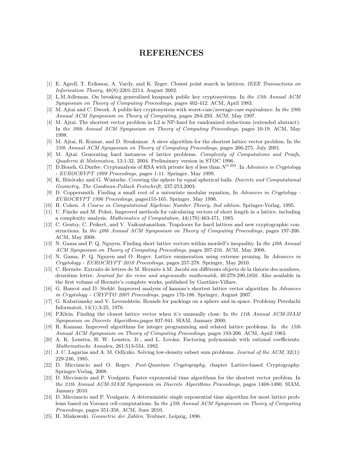# REFERENCES

- [1] E. Agrell, T. Eriksson, A. Vardy, and K. Zeger. Closest point search in lattices. IEEE Transactions on Information Theory, 48(8):2201-2214. August 2002.
- [2] L.M.Adleman. On breaking generalized knapsack public key cryptosystems. In the 15th Annual ACM Symposium on Theory of Computing Proceedings, pages 402-412. ACM, April 1983.
- [3] M. Ajtai and C. Dwork. A public-key cryptosystem with worst-case/average-case equivalence. In the 29th Annual ACM Symposium on Theory of Computing, pages 284-293. ACM, May 1997.
- [4] M. Ajtai. The shortest vector problem in L2 is NP-hard for randomized reductions (extended abstract). In the 30th Annual ACM Symposium on Theory of Computing Proceedings, pages 10-19. ACM, May 1998.
- [5] M. Ajtai, R. Kumar, and D. Sivakumar. A sieve algorithm for the shortest lattice vector problem. In the 33th Annual ACM Symposium on Theory of Computing Proceedings, pages 266-275. July 2001.
- [6] M. Ajtai. Generating hard instances of lattice problems. Complexity of Computations and Proofs, Quaderni di Matematica, 13:1-32, 2004. Preliminary version in STOC 1996.
- [7] D.Boneh, G.Durfee. Cryptanalysis of RSA with private key d less than  $N^{0.292}$ . In Advances in Cryptology - EUROCRYPT 1999 Proceedings, pages 1-11. Springer, May 1999.
- [8] K. Böröczky and G. Wintsche. Covering the sphere by equal spherical balls. Discrete and Computational Geometry, The Goodman-Pollack Festschrift, 237-253,2003.
- [9] D. Coppersmith. Finding a small root of a univariate modular equation, In Advances in Cryptology EUROCRYPT 1996 Proceedings, pages155-165. Springer, May 1996.
- [10] H. Cohen. A Course in Computational Algebraic Number Theory, 2nd edition. Springer-Verlag, 1995.
- [11] U. Fincke and M. Pohst. Improved methods for calculating vectors of short length in a lattice, including a complexity analysis. Mathematics of Computation, 44(170):463-471, 1985.
- [12] C. Gentry, C. Peikert, and V. Vaikuntanathan. Trapdoors for hard lattices and new cryptographic constructions. In the 40th Annual ACM Symposium on Theory of Computing Proceedings, pages 197-206. ACM, May 2008.
- [13] N. Gama and P. Q. Nguyen. Finding short lattice vectors within mordell's inequality. In the 40th Annual ACM Symposium on Theory of Computing Proceedings, pages 207-216. ACM, May 2008.
- [14] N. Gama, P. Q. Nguyen and O. Regev. Lattice enumeration using extreme pruning. In Advances in Cryptology - EUROCRYPT 2010 Proceedings, pages 257-278. Springer, May 2010.
- [15] C. Hermite. Extraits de lettres de M. Hermite à M. Jacobi sur différents objects de la théorie des nombres, deuxième lettre. Journal fur die reine und angewandte mathematik, 40:279-290,1850. Also available in the first volume of Hermite's complete works, published by Gauthier-Villars.
- [16] G. Hanrot and D. Stehlé. Improved analysis of kannan's shortest lattice vector algorithm. In Advances in Cryptology - CRYPTO 2007 Proceedings, pages 170-186. Springer, August 2007.
- [17] G. Kabatiansky and V. Levenshtein. Bounds for packings on a sphere and in space. Problemy Peredachi Informatsii, 14(1):3-25, 1978.
- [18] P.Klein. Finding the closest lattice vector when it's unusually close. In the 11th Annual ACM-SIAM Symposium on Discrete Algorithms,pages 937-941. SIAM, January 2000.
- [19] R. Kannan. Improved algorithms for integer programming and related lattice problems. In the 15th Annual ACM Symposium on Theory of Computing Proceedings, pages 193-206. ACM, April 1983.
- [20] A. K. Lenstra, H. W. Lenstra, Jr., and L. Lovász. Factoring polynomials with rational coefficients. Mathematische Annalen, 261:513-534, 1982.
- [21] J. C. Lagarias and A. M. Odlyzko. Solving low-density subset sum problems. Journal of the ACM, 32(1): 229-246, 1985.
- [22] D. Micciancio and O. Regev. Post-Quantum Cryptography, chapter Lattice-based Cryptography. Springer-Verlag, 2008.
- [23] D. Micciancio and P. Voulgaris. Faster exponential time algorithms for the shortest vector problem. In the 21th Annual ACM-SIAM Symposium on Discrete Algorithms Proceedings, pages 1468-1480. SIAM, January 2010.
- [24] D. Micciancio and P. Voulgaris. A deterministic single exponential time algorithm for most lattice problems based on Voronoi cell computations. In the 42th Annual ACM Symposium on Theory of Computing Proceedings, pages 351-358. ACM, June 2010.
- [25] H. Minkowski. Geometrie der Zahlen. Teubner, Leipzig, 1896.